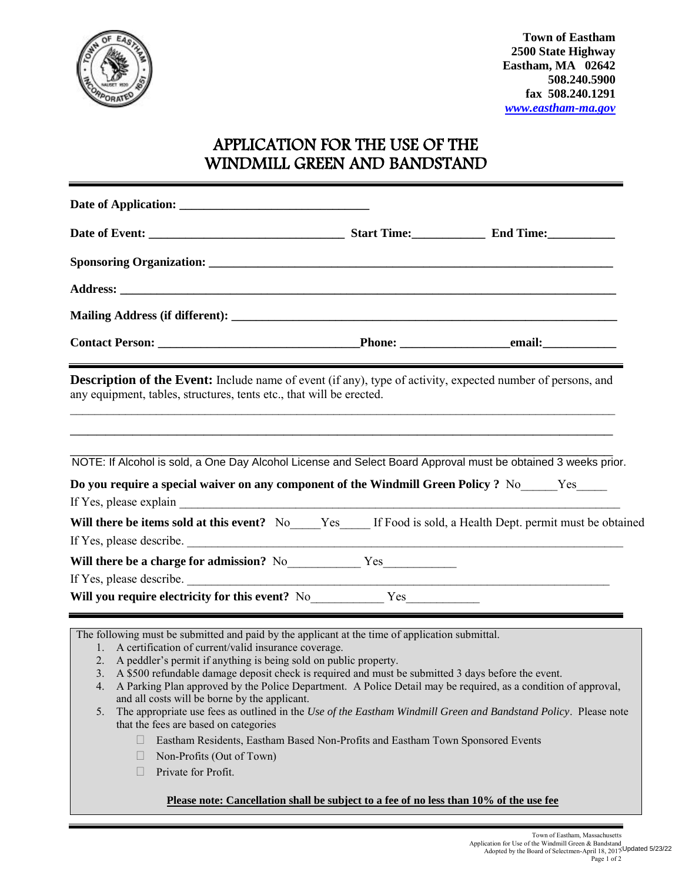

## APPLICATION FOR THE USE OF THE WINDMILL GREEN AND BANDSTAND

| any equipment, tables, structures, tents etc., that will be erected.                                                                                                                                                                                                                            | <b>Description of the Event:</b> Include name of event (if any), type of activity, expected number of persons, and                                                                                                                                                                                                                                                                                                                                                                                                                 |                                                                                                               |  |  |
|-------------------------------------------------------------------------------------------------------------------------------------------------------------------------------------------------------------------------------------------------------------------------------------------------|------------------------------------------------------------------------------------------------------------------------------------------------------------------------------------------------------------------------------------------------------------------------------------------------------------------------------------------------------------------------------------------------------------------------------------------------------------------------------------------------------------------------------------|---------------------------------------------------------------------------------------------------------------|--|--|
|                                                                                                                                                                                                                                                                                                 | NOTE: If Alcohol is sold, a One Day Alcohol License and Select Board Approval must be obtained 3 weeks prior.<br>Do you require a special waiver on any component of the Windmill Green Policy? No<br>Yes <u>Windmill Green Policy</u> ? No                                                                                                                                                                                                                                                                                        |                                                                                                               |  |  |
|                                                                                                                                                                                                                                                                                                 |                                                                                                                                                                                                                                                                                                                                                                                                                                                                                                                                    | Will there be items sold at this event? No____Yes____ If Food is sold, a Health Dept. permit must be obtained |  |  |
|                                                                                                                                                                                                                                                                                                 |                                                                                                                                                                                                                                                                                                                                                                                                                                                                                                                                    |                                                                                                               |  |  |
|                                                                                                                                                                                                                                                                                                 |                                                                                                                                                                                                                                                                                                                                                                                                                                                                                                                                    |                                                                                                               |  |  |
|                                                                                                                                                                                                                                                                                                 | If Yes, please describe.                                                                                                                                                                                                                                                                                                                                                                                                                                                                                                           |                                                                                                               |  |  |
|                                                                                                                                                                                                                                                                                                 | Will you require electricity for this event? No _________________________________                                                                                                                                                                                                                                                                                                                                                                                                                                                  |                                                                                                               |  |  |
| A certification of current/valid insurance coverage.<br>1.<br>2. A peddler's permit if anything is being sold on public property.<br>and all costs will be borne by the applicant.<br>5.<br>that the fees are based on categories<br>Non-Profits (Out of Town)<br>Private for Profit.<br>$\Box$ | The following must be submitted and paid by the applicant at the time of application submittal.<br>3. A \$500 refundable damage deposit check is required and must be submitted 3 days before the event.<br>4. A Parking Plan approved by the Police Department. A Police Detail may be required, as a condition of approval,<br>The appropriate use fees as outlined in the Use of the Eastham Windmill Green and Bandstand Policy. Please note<br>Eastham Residents, Eastham Based Non-Profits and Eastham Town Sponsored Events |                                                                                                               |  |  |
|                                                                                                                                                                                                                                                                                                 | Please note: Cancellation shall be subject to a fee of no less than 10% of the use fee                                                                                                                                                                                                                                                                                                                                                                                                                                             |                                                                                                               |  |  |